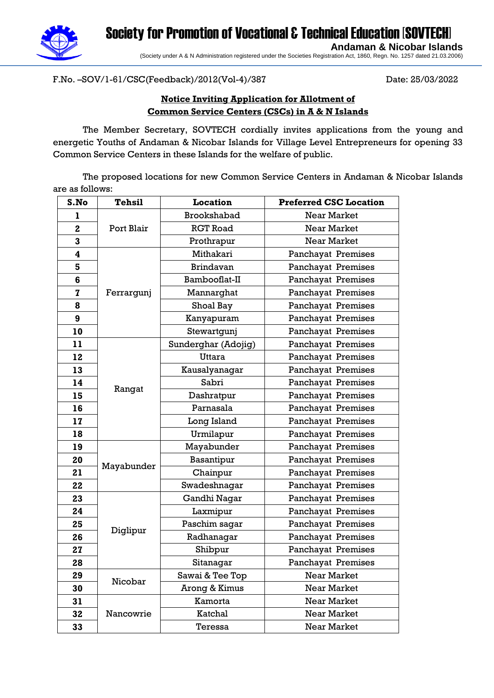Society for Promotion of Vocational & Technical Education [SOVTECH] **Andaman & Nicobar Islands**



(Society under A & N Administration registered under the Societies Registration Act, 1860, Regn. No. 1257 dated 21.03.2006)

F.No. –SOV/1-61/CSC(Feedback)/2012(Vol-4)/387 Date: 25/03/2022

### **Notice Inviting Application for Allotment of Common Service Centers (CSCs) in A & N Islands**

The Member Secretary, SOVTECH cordially invites applications from the young and energetic Youths of Andaman & Nicobar Islands for Village Level Entrepreneurs for opening 33 Common Service Centers in these Islands for the welfare of public.

The proposed locations for new Common Service Centers in Andaman & Nicobar Islands are as follows:

| S.No         | <b>Tehsil</b> | <b>Location</b>     | <b>Preferred CSC Location</b> |
|--------------|---------------|---------------------|-------------------------------|
| ı            |               | Brookshabad         | <b>Near Market</b>            |
| $\mathbf{2}$ | Port Blair    | <b>RGT Road</b>     | <b>Near Market</b>            |
| 3            |               | Prothrapur          | Near Market                   |
| 4            |               | Mithakari           | Panchayat Premises            |
| 5            | Ferrargunj    | <b>Brindavan</b>    | Panchayat Premises            |
| 6            |               | Bambooflat-II       | Panchayat Premises            |
| $\mathbf{z}$ |               | Mannarghat          | Panchayat Premises            |
| 8            |               | Shoal Bay           | Panchayat Premises            |
| 9            |               | Kanyapuram          | Panchayat Premises            |
| 10           |               | Stewartgunj         | Panchayat Premises            |
| 11           |               | Sunderghar (Adojig) | Panchayat Premises            |
| 12           |               | Uttara              | Panchayat Premises            |
| 13           |               | Kausalyanagar       | Panchayat Premises            |
| 14           | Rangat        | Sabri               | <b>Panchayat Premises</b>     |
| 15           |               | Dashratpur          | Panchayat Premises            |
| 16           |               | Parnasala           | Panchayat Premises            |
| 17           |               | Long Island         | Panchayat Premises            |
| 18           |               | Urmilapur           | Panchayat Premises            |
| 19           |               | Mayabunder          | Panchayat Premises            |
| 20           |               | Basantipur          | Panchayat Premises            |
| 21           | Mayabunder    | Chainpur            | Panchayat Premises            |
| 22           |               | Swadeshnagar        | Panchayat Premises            |
| 23           | Diglipur      | Gandhi Nagar        | Panchayat Premises            |
| 24           |               | Laxmipur            | Panchayat Premises            |
| 25           |               | Paschim sagar       | Panchayat Premises            |
| 26           |               | Radhanagar          | Panchayat Premises            |
| 27           |               | Shibpur             | Panchayat Premises            |
| 28           |               | Sitanagar           | <b>Panchayat Premises</b>     |
| 29           | Nicobar       | Sawai & Tee Top     | <b>Near Market</b>            |
| 30           |               | Arong & Kimus       | Near Market                   |
| 31           |               | Kamorta             | Near Market                   |
| 32           | Nancowrie     | Katchal             | Near Market                   |
| 33           |               | Teressa             | Near Market                   |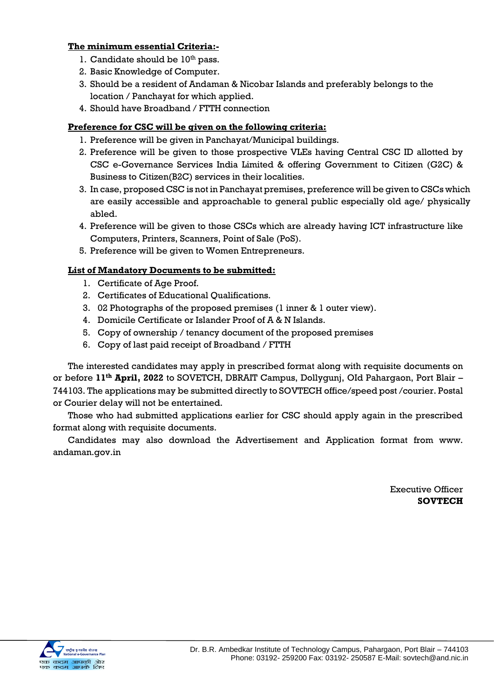#### **The minimum essential Criteria:-**

- 1. Candidate should be  $10<sup>th</sup>$  pass.
- 2. Basic Knowledge of Computer.
- 3. Should be a resident of Andaman & Nicobar Islands and preferably belongs to the location / Panchayat for which applied.
- 4. Should have Broadband / FTTH connection

#### **Preference for CSC will be given on the following criteria:**

- 1. Preference will be given in Panchayat/Municipal buildings.
- 2. Preference will be given to those prospective VLEs having Central CSC ID allotted by CSC e-Governance Services India Limited & offering Government to Citizen (G2C) & Business to Citizen(B2C) services in their localities.
- 3. In case, proposed CSC is not in Panchayat premises, preference will be given to CSCs which are easily accessible and approachable to general public especially old age/ physically abled.
- 4. Preference will be given to those CSCs which are already having ICT infrastructure like Computers, Printers, Scanners, Point of Sale (PoS).
- 5. Preference will be given to Women Entrepreneurs.

#### **List of Mandatory Documents to be submitted:**

- 1. Certificate of Age Proof.
- 2. Certificates of Educational Qualifications.
- 3. 02 Photographs of the proposed premises (1 inner & 1 outer view).
- 4. Domicile Certificate or Islander Proof of A & N Islands.
- 5. Copy of ownership / tenancy document of the proposed premises
- 6. Copy of last paid receipt of Broadband / FTTH

The interested candidates may apply in prescribed format along with requisite documents on or before **11th April, 2022** to SOVETCH, DBRAIT Campus, Dollygunj, OId Pahargaon, Port Blair – 744103. The applications may be submitted directly to SOVTECH office/speed post /courier. Postal or Courier delay will not be entertained.

Those who had submitted applications earlier for CSC should apply again in the prescribed format along with requisite documents.

Candidates may also download the Advertisement and Application format from www. andaman.gov.in

> Executive Officer **SOVTECH**

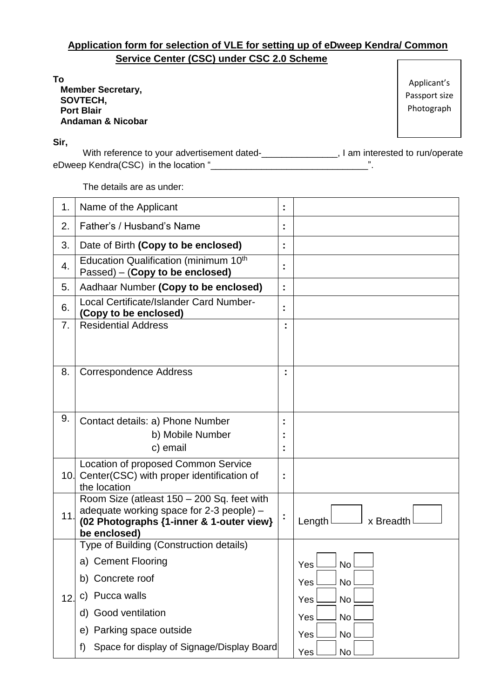# **Application form for selection of VLE for setting up of eDweep Kendra/ Common Service Center (CSC) under CSC 2.0 Scheme**

**To Member Secretary, SOVTECH, Port Blair Andaman & Nicobar**

Applicant's Passport size Photograph

**Sir,**

With reference to your advertisement dated-\_\_\_\_\_\_\_\_\_\_\_\_\_\_\_, I am interested to run/operate eDweep Kendra(CSC) in the location "

The details are as under:

| 1.  | Name of the Applicant                                                                  | t, |                                  |
|-----|----------------------------------------------------------------------------------------|----|----------------------------------|
| 2.  | Father's / Husband's Name                                                              | t  |                                  |
| 3.  | Date of Birth (Copy to be enclosed)                                                    | Î, |                                  |
| 4.  | Education Qualification (minimum 10 <sup>th</sup><br>Passed) – (Copy to be enclosed)   | ÷, |                                  |
| 5.  | Aadhaar Number (Copy to be enclosed)                                                   | t, |                                  |
| 6.  | <b>Local Certificate/Islander Card Number-</b><br>(Copy to be enclosed)                | Ì. |                                  |
| 7.  | <b>Residential Address</b>                                                             | ٠  |                                  |
|     |                                                                                        |    |                                  |
| 8.  | <b>Correspondence Address</b>                                                          |    |                                  |
|     |                                                                                        |    |                                  |
| 9.  | Contact details: a) Phone Number                                                       |    |                                  |
|     | b) Mobile Number                                                                       |    |                                  |
|     | c) email                                                                               | ٠  |                                  |
|     | Location of proposed Common Service                                                    |    |                                  |
|     | 10. Center (CSC) with proper identification of<br>the location                         | t  |                                  |
|     | Room Size (atleast 150 - 200 Sq. feet with<br>adequate working space for 2-3 people) - |    |                                  |
| 11. | (02 Photographs {1-inner & 1-outer view}<br>be enclosed)                               | Ì, | Length <sup>l</sup><br>x Breadth |
|     | Type of Building (Construction details)                                                |    |                                  |
|     | a) Cement Flooring                                                                     |    | <b>Yes</b><br><b>No</b>          |
|     | Concrete roof<br>b)                                                                    |    | No<br>Yes                        |
| 12. | Pucca walls<br>C)                                                                      |    | No<br>Yes                        |
|     | d) Good ventilation                                                                    |    | No<br>Yes                        |
|     | Parking space outside<br>e)                                                            |    | No<br>Yes                        |
|     | Space for display of Signage/Display Board<br>f)                                       |    | No<br>Yes                        |